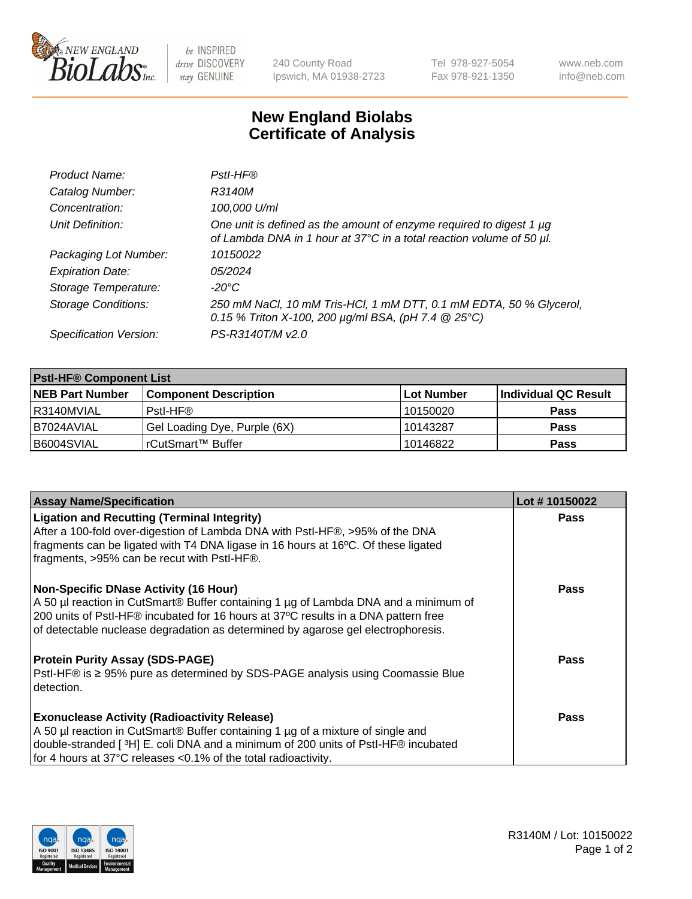

be INSPIRED drive DISCOVERY stay GENUINE

240 County Road Ipswich, MA 01938-2723 Tel 978-927-5054 Fax 978-921-1350 www.neb.com info@neb.com

## **New England Biolabs Certificate of Analysis**

| Product Name:              | Pstl-HF®                                                                                                                                             |
|----------------------------|------------------------------------------------------------------------------------------------------------------------------------------------------|
| Catalog Number:            | R3140M                                                                                                                                               |
| Concentration:             | 100,000 U/ml                                                                                                                                         |
| Unit Definition:           | One unit is defined as the amount of enzyme required to digest 1 µg<br>of Lambda DNA in 1 hour at 37°C in a total reaction volume of 50 µl.          |
| Packaging Lot Number:      | 10150022                                                                                                                                             |
| <b>Expiration Date:</b>    | 05/2024                                                                                                                                              |
| Storage Temperature:       | $-20^{\circ}$ C                                                                                                                                      |
| <b>Storage Conditions:</b> | 250 mM NaCl, 10 mM Tris-HCl, 1 mM DTT, 0.1 mM EDTA, 50 % Glycerol,<br>0.15 % Triton X-100, 200 $\mu$ g/ml BSA, (pH 7.4 $\textcircled{25}^{\circ}$ C) |
| Specification Version:     | PS-R3140T/M v2.0                                                                                                                                     |

| <b>Pstl-HF® Component List</b> |                              |            |                      |  |
|--------------------------------|------------------------------|------------|----------------------|--|
| <b>NEB Part Number</b>         | <b>Component Description</b> | Lot Number | Individual QC Result |  |
| I R3140MVIAL                   | Pstl-HF®                     | 10150020   | <b>Pass</b>          |  |
| I B7024AVIAL                   | Gel Loading Dye, Purple (6X) | 10143287   | <b>Pass</b>          |  |
| B6004SVIAL                     | l rCutSmart™ Buffer          | 10146822   | <b>Pass</b>          |  |

| <b>Assay Name/Specification</b>                                                                                                                                           | Lot #10150022 |
|---------------------------------------------------------------------------------------------------------------------------------------------------------------------------|---------------|
| <b>Ligation and Recutting (Terminal Integrity)</b><br>After a 100-fold over-digestion of Lambda DNA with PstI-HF®, >95% of the DNA                                        | <b>Pass</b>   |
| fragments can be ligated with T4 DNA ligase in 16 hours at 16°C. Of these ligated<br>fragments, >95% can be recut with PstI-HF®.                                          |               |
| <b>Non-Specific DNase Activity (16 Hour)</b>                                                                                                                              | Pass          |
| A 50 µl reaction in CutSmart® Buffer containing 1 µg of Lambda DNA and a minimum of<br>200 units of Pstl-HF® incubated for 16 hours at 37°C results in a DNA pattern free |               |
| of detectable nuclease degradation as determined by agarose gel electrophoresis.                                                                                          |               |
| <b>Protein Purity Assay (SDS-PAGE)</b>                                                                                                                                    | Pass          |
| PstI-HF® is ≥ 95% pure as determined by SDS-PAGE analysis using Coomassie Blue<br>detection.                                                                              |               |
| <b>Exonuclease Activity (Radioactivity Release)</b>                                                                                                                       | <b>Pass</b>   |
| A 50 µl reaction in CutSmart® Buffer containing 1 µg of a mixture of single and                                                                                           |               |
| double-stranded [ <sup>3</sup> H] E. coli DNA and a minimum of 200 units of PstI-HF® incubated                                                                            |               |
| for 4 hours at 37°C releases <0.1% of the total radioactivity.                                                                                                            |               |